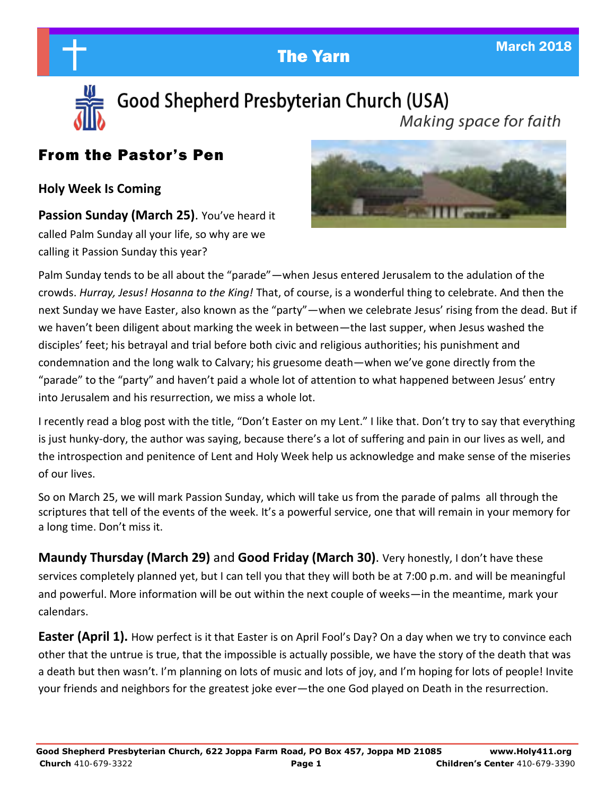**The Yarn March 2018** 



Good Shepherd Presbyterian Church (USA) Making space for faith

## From the Pastor's Pen

**Holy Week Is Coming** 

**Passion Sunday (March 25)**. You've heard it called Palm Sunday all your life, so why are we calling it Passion Sunday this year?



Palm Sunday tends to be all about the "parade"—when Jesus entered Jerusalem to the adulation of the crowds. *Hurray, Jesus! Hosanna to the King!* That, of course, is a wonderful thing to celebrate. And then the next Sunday we have Easter, also known as the "party"—when we celebrate Jesus' rising from the dead. But if we haven't been diligent about marking the week in between—the last supper, when Jesus washed the disciples' feet; his betrayal and trial before both civic and religious authorities; his punishment and condemnation and the long walk to Calvary; his gruesome death—when we've gone directly from the "parade" to the "party" and haven't paid a whole lot of attention to what happened between Jesus' entry into Jerusalem and his resurrection, we miss a whole lot.

I recently read a blog post with the title, "Don't Easter on my Lent." I like that. Don't try to say that everything is just hunky-dory, the author was saying, because there's a lot of suffering and pain in our lives as well, and the introspection and penitence of Lent and Holy Week help us acknowledge and make sense of the miseries of our lives.

So on March 25, we will mark Passion Sunday, which will take us from the parade of palms all through the scriptures that tell of the events of the week. It's a powerful service, one that will remain in your memory for a long time. Don't miss it.

**Maundy Thursday (March 29)** and **Good Friday (March 30)**. Very honestly, I don't have these services completely planned yet, but I can tell you that they will both be at 7:00 p.m. and will be meaningful and powerful. More information will be out within the next couple of weeks—in the meantime, mark your calendars.

**Easter (April 1).** How perfect is it that Easter is on April Fool's Day? On a day when we try to convince each other that the untrue is true, that the impossible is actually possible, we have the story of the death that was a death but then wasn't. I'm planning on lots of music and lots of joy, and I'm hoping for lots of people! Invite your friends and neighbors for the greatest joke ever—the one God played on Death in the resurrection.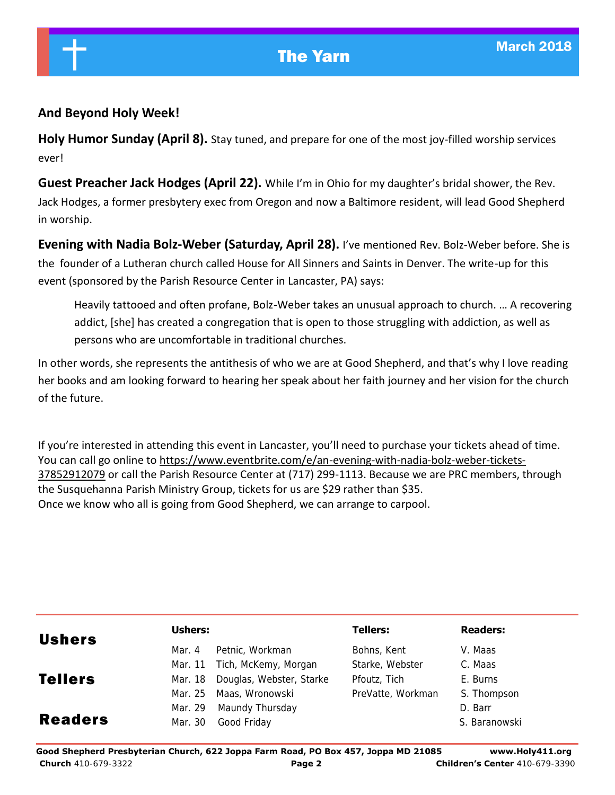## **And Beyond Holy Week!**

**Holy Humor Sunday (April 8).** Stay tuned, and prepare for one of the most joy-filled worship services ever!

**Guest Preacher Jack Hodges (April 22).** While I'm in Ohio for my daughter's bridal shower, the Rev. Jack Hodges, a former presbytery exec from Oregon and now a Baltimore resident, will lead Good Shepherd in worship.

**Evening with Nadia Bolz-Weber (Saturday, April 28).** I've mentioned Rev. Bolz-Weber before. She is the founder of a Lutheran church called House for All Sinners and Saints in Denver. The write-up for this event (sponsored by the Parish Resource Center in Lancaster, PA) says:

Heavily tattooed and often profane, Bolz-Weber takes an unusual approach to church. … A recovering addict, [she] has created a congregation that is open to those struggling with addiction, as well as persons who are uncomfortable in traditional churches.

In other words, she represents the antithesis of who we are at Good Shepherd, and that's why I love reading her books and am looking forward to hearing her speak about her faith journey and her vision for the church of the future.

If you're interested in attending this event in Lancaster, you'll need to purchase your tickets ahead of time. You can call go online to [https://www.eventbrite.com/e/an-evening-with-nadia-bolz-weber-tickets-](https://www.eventbrite.com/e/an-evening-with-nadia-bolz-weber-tickets-37852912079)[37852912079 o](https://www.eventbrite.com/e/an-evening-with-nadia-bolz-weber-tickets-37852912079)r call the Parish Resource Center at (717) 299-1113. Because we are PRC members, through the Susquehanna Parish Ministry Group, tickets for us are \$29 rather than \$35. Once we know who all is going from Good Shepherd, we can arrange to carpool.

| <b>Ushers</b>  | Ushers: |                              | <b>Tellers:</b>   | <b>Readers:</b> |
|----------------|---------|------------------------------|-------------------|-----------------|
|                | Mar. 4  | Petnic, Workman              | Bohns, Kent       | V. Maas         |
| <b>Tellers</b> |         | Mar. 11 Tich, McKemy, Morgan | Starke, Webster   | C. Maas         |
|                | Mar. 18 | Douglas, Webster, Starke     | Pfoutz, Tich      | E. Burns        |
|                |         | Mar. 25 Maas, Wronowski      | PreVatte, Workman | S. Thompson     |
| <b>Readers</b> | Mar. 29 | Maundy Thursday              |                   | D. Barr         |
|                | Mar. 30 | Good Friday                  |                   | S. Baranowski   |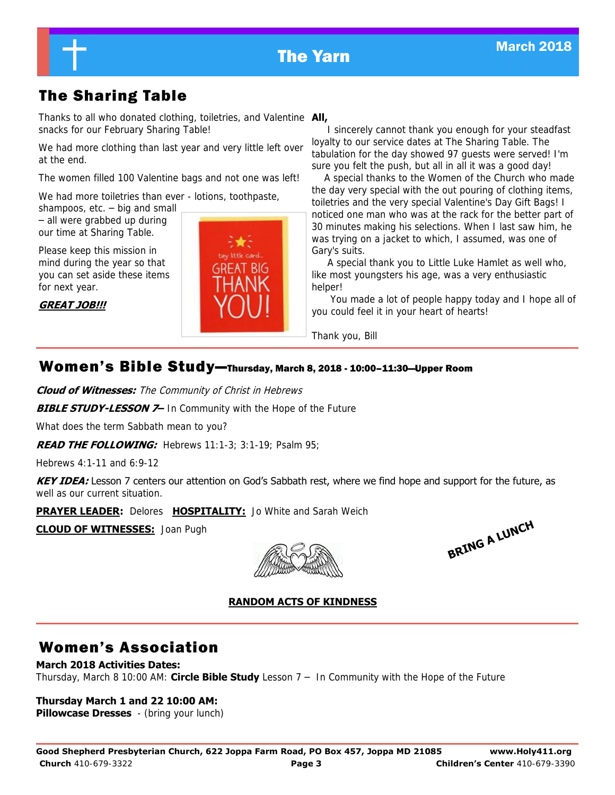

## The Sharing Table

Thanks to all who donated clothing, toiletries, and Valentine **All,**  snacks for our February Sharing Table!

We had more clothing than last year and very little left over at the end.

The women filled 100 Valentine bags and not one was left!

We had more toiletries than ever - lotions, toothpaste,

shampoos,  $etc. - big$  and small – all were grabbed up during our time at Sharing Table.

Please keep this mission in mind during the year so that you can set aside these items for next year.

**GREAT JOB!!!**



 I sincerely cannot thank you enough for your steadfast loyalty to our service dates at The Sharing Table. The tabulation for the day showed 97 guests were served! I'm sure you felt the push, but all in all it was a good day!

 A special thanks to the Women of the Church who made the day very special with the out pouring of clothing items, toiletries and the very special Valentine's Day Gift Bags! I noticed one man who was at the rack for the better part of 30 minutes making his selections. When I last saw him, he was trying on a jacket to which, I assumed, was one of Gary's suits.

 A special thank you to Little Luke Hamlet as well who, like most youngsters his age, was a very enthusiastic helper!

 You made a lot of people happy today and I hope all of you could feel it in your heart of hearts!

Thank you, Bill

## Women's Bible Study—Thursday, March 8, 2018 - 10:00–11:30—Upper Room

**Cloud of Witnesses:** The Community of Christ in Hebrews

**BIBLE STUDY-LESSON 7–** In Community with the Hope of the Future

What does the term Sabbath mean to you?

**READ THE FOLLOWING:** Hebrews 11:1-3; 3:1-19; Psalm 95;

Hebrews 4:1-11 and 6:9-12

**KEY IDEA:** Lesson 7 centers our attention on God's Sabbath rest, where we find hope and support for the future, as well as our current situation.

**PRAYER LEADER:** Delores **HOSPITALITY:** Jo White and Sarah Weich

**CLOUD OF WITNESSES:** Joan Pugh



**BRING A LUNCH**

### **RANDOM ACTS OF KINDNESS**

## Women's Association

## **March 2018 Activities Dates:**

Thursday, March 8 10:00 AM: **Circle Bible Study** Lesson 7 – In Community with the Hope of the Future

**Thursday March 1 and 22 10:00 AM: Pillowcase Dresses** - (bring your lunch)

**Good Shepherd Presbyterian Church, 622 Joppa Farm Road, PO Box 457, Joppa MD 21085 www.Holy411.org Church** 410-679-3322 **Page 3 Children's Center** 410-679-3390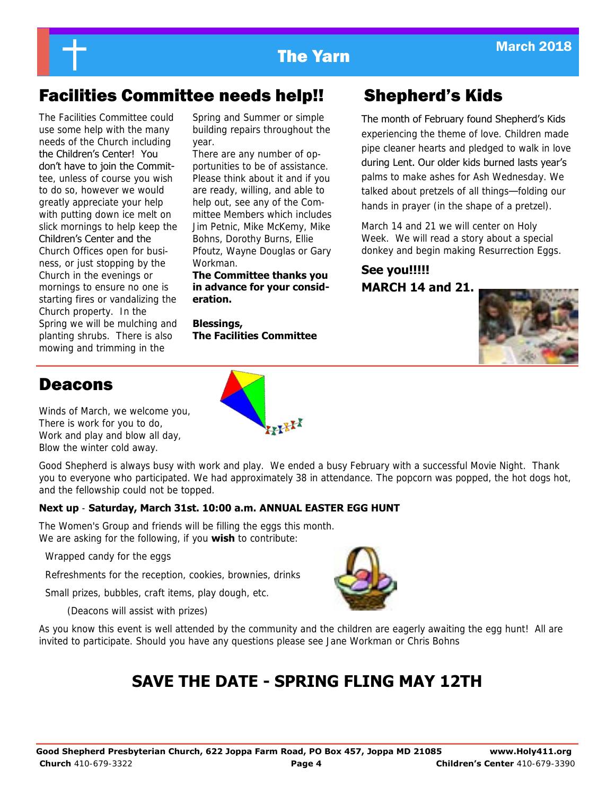

## Facilities Committee needs help!!

The Facilities Committee could use some help with the many needs of the Church including the Children's Center! You don't have to join the Committee, unless of course you wish to do so, however we would greatly appreciate your help with putting down ice melt on slick mornings to help keep the Children's Center and the Church Offices open for business, or just stopping by the Church in the evenings or mornings to ensure no one is starting fires or vandalizing the Church property. In the Spring we will be mulching and planting shrubs. There is also mowing and trimming in the

Spring and Summer or simple building repairs throughout the year.

There are any number of opportunities to be of assistance. Please think about it and if you are ready, willing, and able to help out, see any of the Committee Members which includes Jim Petnic, Mike McKemy, Mike Bohns, Dorothy Burns, Ellie Pfoutz, Wayne Douglas or Gary Workman.

**The Committee thanks you in advance for your consideration.** 

**Blessings, The Facilities Committee** 

## Shepherd's Kids

The month of February found Shepherd's Kids experiencing the theme of love. Children made pipe cleaner hearts and pledged to walk in love during Lent. Our older kids burned lasts year's palms to make ashes for Ash Wednesday. We talked about pretzels of all things—folding our hands in prayer (in the shape of a pretzel).

March 14 and 21 we will center on Holy Week. We will read a story about a special donkey and begin making Resurrection Eggs.

**See you!!!!! MARCH 14 and 21.** 



## Deacons

Winds of March, we welcome you, There is work for you to do, Work and play and blow all day, Blow the winter cold away.

Good Shepherd is always busy with work and play. We ended a busy February with a successful Movie Night. Thank you to everyone who participated. We had approximately 38 in attendance. The popcorn was popped, the hot dogs hot, and the fellowship could not be topped.

### **Next up** - **Saturday, March 31st. 10:00 a.m. ANNUAL EASTER EGG HUNT**

The Women's Group and friends will be filling the eggs this month. We are asking for the following, if you **wish** to contribute:

Wrapped candy for the eggs

Refreshments for the reception, cookies, brownies, drinks

Small prizes, bubbles, craft items, play dough, etc.

(Deacons will assist with prizes)



As you know this event is well attended by the community and the children are eagerly awaiting the egg hunt! All are invited to participate. Should you have any questions please see Jane Workman or Chris Bohns

## **SAVE THE DATE - SPRING FLING MAY 12TH**

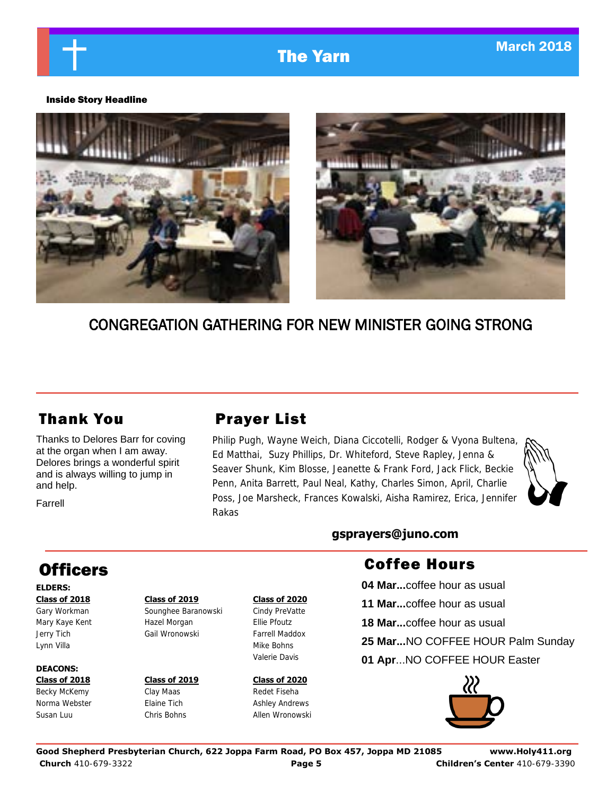### Inside Story Headline



## CONGREGATION GATHERING FOR NEW MINISTER GOING STRONG

Thanks to Delores Barr for coving at the organ when I am away. Delores brings a wonderful spirit and is always willing to jump in and help.

Farrell

## Thank You Prayer List

Philip Pugh, Wayne Weich, Diana Ciccotelli, Rodger & Vyona Bultena, Ed Matthai, Suzy Phillips, Dr. Whiteford, Steve Rapley, Jenna & Seaver Shunk, Kim Blosse, Jeanette & Frank Ford, Jack Flick, Beckie Penn, Anita Barrett, Paul Neal, Kathy, Charles Simon, April, Charlie Poss, Joe Marsheck, Frances Kowalski, Aisha Ramirez, Erica, Jennifer Rakas



### **gsprayers@juno.com**

## Coffee Hours

- **04 Mar...**coffee hour as usual
- **11 Mar...**coffee hour as usual
- **18 Mar...**coffee hour as usual
- **25 Mar...**NO COFFEE HOUR Palm Sunday
- **01 Apr**...NO COFFEE HOUR Easter

## **ELDERS: Officers**

## **DEACONS:**

Becky McKemy Clay Maas Redet Fiseha Norma Webster **Elaine Tich** Ashley Andrews Susan Luu Chris Bohns Chris Hohns Allen Wronowski

**Class of 2018 Class of 2019 Class of 2020** Gary Workman Sounghee Baranowski Cindy PreVatte Mary Kaye Kent **Hazel Morgan** Ellie Pfoutz Jerry Tich **Gail Wronowski** Farrell Maddox

# **Class of 2018 Class of 2019 Class of 2020**

## Lynn Villa **Mike Bohns** Mike Bohns Valerie Davis